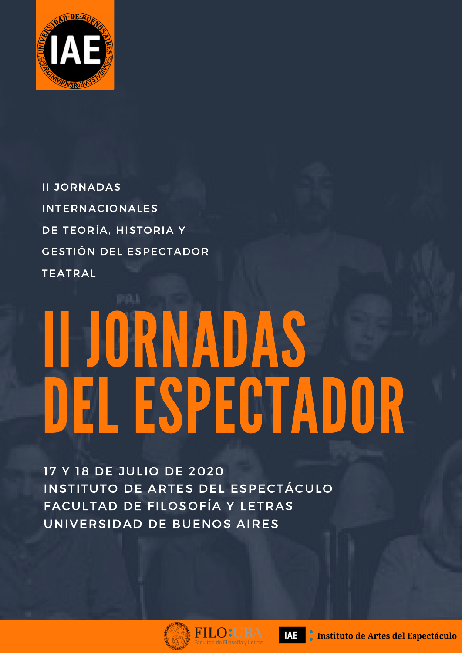

II JORNADAS INTERNACIONALES DE TEORÍA, HISTORIA Y GESTIÓN DEL ESPECTADOR TEATRAL

# II JORNADAS DEL ESPECTADOR

17 Y 18 DE JULIO DE 2020 INSTITUTO DE ARTES DEL ESPECTÁCULO FACULTAD DE FILOSOFÍA Y LETRAS UNIVERSIDAD DE BUENOS AIRES



D:l

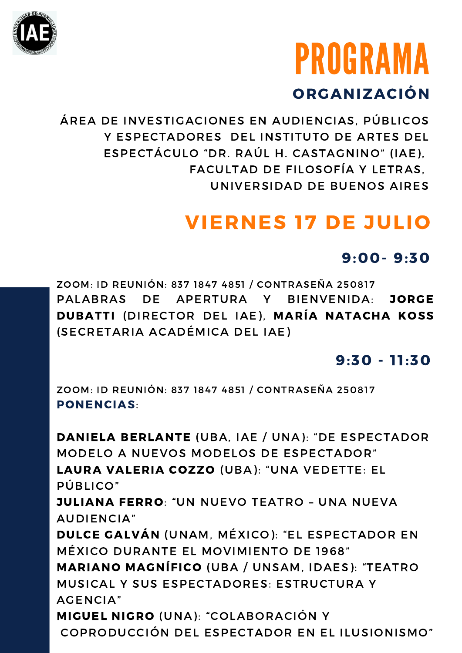

## PROGRAMA ORGANIZACIÓN

ÁREA DE INVESTIGACIONES EN AUDIENCIAS, PÚBLICOS Y ESPECTADORES DEL INSTITUTO DE ARTES DEL ESPECTÁCULO "DR. RAÚL H. CASTAGNINO" (IAE), FACULTAD DE FILOSOFÍA Y LETRAS, UNIVERSIDAD DE BUENOS AIRES

## VIERNES 17 DE JULIO

#### 9:00- 9:30

ZOOM: ID REUNIÓN: 837 1847 4851 / CONTRASEÑA 250817 PALABRAS DE APERTURA Y BIENVENIDA: JORGE DUBATTI (DIRECTOR DEL IAE), MARÍA NATACHA KOSS (SECRETARIA ACADÉMICA DEL IAE)

#### $9:30 - 11:30$

ZOOM: ID REUNIÓN: 837 1847 4851 / CONTRASEÑA 250817 PONENCIAS:

DANIELA BERLANTE (UBA, IAE / UNA): "DE ESPECTADOR MODELO A NUEVOS MODELOS DE ESPECTADOR" LAURA VALERIA COZZO (UBA): "UNA VEDETTE: EL PÚBLICO" JULIANA FERRO: "UN NUEVO TEATRO – UNA NUEVA AUDIENCIA" DULCE GALVÁN (UNAM, MÉXICO): "EL ESPECTADOR EN MÉXICO DURANTE EL MOVIMIENTO DE 1968" MARIANO MAGNÍFICO (UBA / UNSAM, IDAES): "TEATRO MUSICAL Y SUS ESPECTADORES: ESTRUCTURA Y AGENCIA" MIGUEL NIGRO (UNA): "COLABORACIÓN Y COPRODUCCIÓN DEL ESPECTADOR EN EL ILUSIONISMO"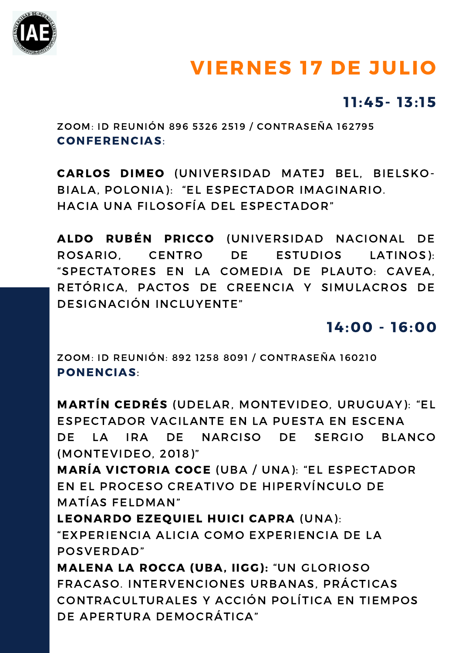

## VIERNES 17 DE JULIO

#### $11:45 - 13:15$

ZOOM: ID REUNIÓN 896 5326 2519 / CONTRASEÑA 162795 CONFERENCIAS:

CARLOS DIMEO (UNIVERSIDAD MATEJ BEL, BIELSKO-BIALA, POLONIA): "EL ESPECTADOR IMAGINARIO. HACIA UNA FILOSOFÍA DEL ESPECTADOR"

ALDO RUBÉN PRICCO (UNIVERSIDAD NACIONAL DE ROSARIO, CENTRO DE ESTUDIOS LATINOS): "SPECTATORES EN LA COMEDIA DE PLAUTO: CAVEA, RETÓRICA, PACTOS DE CREENCIA Y SIMULACROS DE DESIGNACIÓN INCLUYENTE"

#### 14:00 - 16:00

ZOOM: ID REUNIÓN: 892 1258 8091 / CONTRASEÑA 160210 PONENCIAS:

MARTÍN CEDRÉS (UDELAR, MONTEVIDEO, URUGUAY): "EL ESPECTADOR VACILANTE EN LA PUESTA EN ESCENA DE LA IRA DE NARCISO DE SERGIO BLANCO (MONTEVIDEO, 2018)" MARÍA VICTORIA COCE (UBA / UNA): "EL ESPECTADOR

EN EL PROCESO CREATIVO DE HIPERVÍNCULO DE MATÍAS FELDMAN"

LEONARDO EZEQUIEL HUICI CAPRA (UNA): "EXPERIENCIA ALICIA COMO EXPERIENCIA DE LA POSVERDAD"

MALENA LA ROCCA (UBA, IIGG): "UN GLORIOSO FRACASO. INTERVENCIONES URBANAS, PRÁCTICAS CONTRACULTURALES Y ACCIÓN POLÍTICA EN TIEMPOS DE APERTURA DEMOCRÁTICA"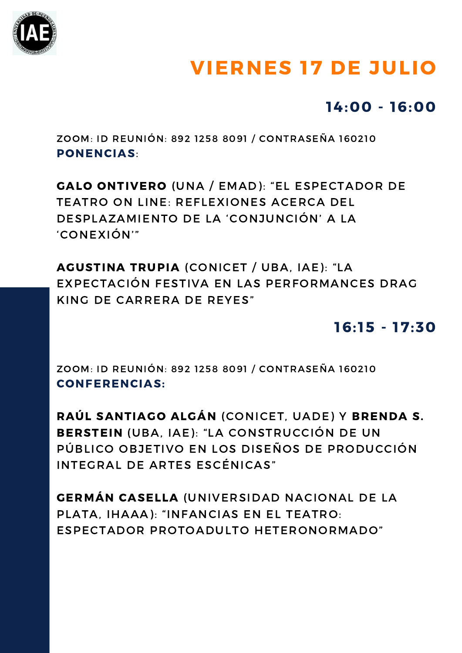

## VIERNES 17 DE JULIO

#### 14:00 - 16:00

ZOOM: ID REUNIÓN: 892 1258 8091 / CONTRASEÑA 160210 PONENCIAS:

GALO ONTIVERO (UNA / EMAD): "EL ESPECTADOR DE TEATRO ON LINE: REFLEXIONES ACERCA DEL DESPLAZAMIENTO DE LA 'CONJUNCIÓN' A LA 'CONEXIÓN'"

AGUSTINA TRUPIA (CONICET / UBA, IAE): "LA EXPECTACIÓN FESTIVA EN LAS PERFORMANCES DRAG KING DE CARRERA DE REYES"

#### $16:15 - 17:30$

ZOOM: ID REUNIÓN: 892 1258 8091 / CONTRASEÑA 160210 CONFERENCIAS:

RAÚL SANTIAGO ALGÁN (CONICET, UADE) Y BRENDA S. BERSTEIN (UBA, IAE): "LA CONSTRUCCIÓN DE UN PÚBLICO OBJETIVO EN LOS DISEÑOS DE PRODUCCIÓN INTEGRAL DE ARTES ESCÉNICAS"

GERMÁN CASELLA (UNIVERSIDAD NACIONAL DE LA PLATA, IHAAA): "INFANCIAS EN EL TEATRO: ESPECTADOR PROTOADULTO HETERONORMADO"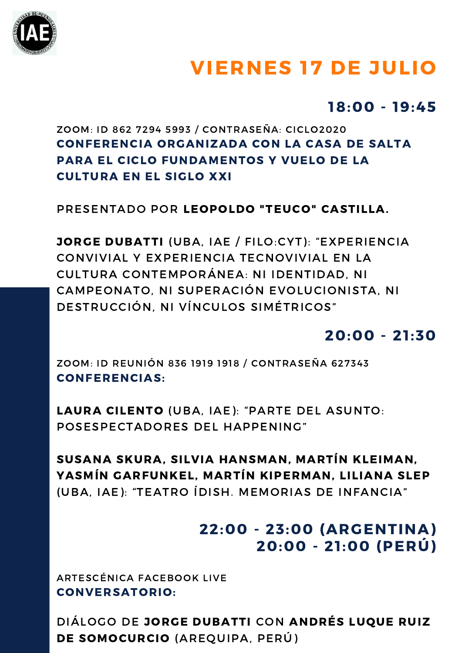

## VIERNES 17 DE JULIO

#### 18:00 - 19:45

#### ZOOM: ID 862 7294 5993 / CONTRASEÑA: CICLO2020 CONFERENCIA ORGANIZADA CON LA CASA DE SALTA PARA EL CICLO FUNDAMENTOS Y VUELO DE LA CULTURA EN EL SIGLO XXI

PRESENTADO POR LEOPOLDO "TEUCO" CASTILLA.

JORGE DUBATTI (UBA, IAE / FILO:CYT): "EXPERIENCIA CONVIVIAL Y EXPERIENCIA TECNOVIVIAL EN LA CULTURA CONTEMPORÁNEA: NI IDENTIDAD, NI CAMPEONATO, NI SUPERACIÓN EVOLUCIONISTA, NI DESTRUCCIÓN, NI VÍNCULOS SIMÉTRICOS"

#### $20:00 - 21:30$

ZOOM: ID REUNIÓN 836 1919 1918 / CONTRASEÑA 627343 CONFERENCIAS:

LAURA CILENTO (UBA, IAE): "PARTE DEL ASUNTO: POSESPECTADORES DEL HAPPENING"

SUSANA SKURA, SILVIA HANSMAN, MARTÍN KLEIMAN, YASMÍN GARFUNKEL, MARTÍN KIPERMAN, LILIANA SLEP (UBA, IAE): "TEATRO ÍDISH. MEMORIAS DE INFANCIA"

#### 22:00 - 23:00 (ARGENTINA) 20:00 - 21 :00 (PERÚ)

ARTESCÉNICA FACEBOOK LIVE CONVERSATORIO:

DIÁLOGO DE JORGE DUBATTI CON ANDRÉS LUQUE RUIZ DE SOMOCURCIO (AREQUIPA, PERÚ)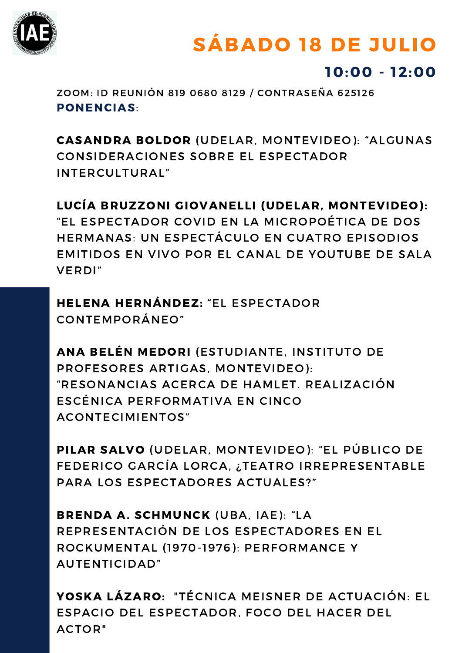

## SÁBADO 18 DE JULIO

#### 10:00 - 12:00

ZOOM: ID REUNIÓN 819 0680 8129 / CONTRASEÑA 625126 PONENCIAS:

CASANDRA BOLDOR (UDELAR, MONTEVIDEO): "ALGUNAS CONSIDERACIONES SOBRE EL ESPECTADOR INTERCULTURAL"

LUCÍA BRUZZONI GIOVANELLI (UDELAR, MONTEVIDEO): "EL ESPECTADOR COVID EN LA MICROPOÉTICA DE DOS HERMANAS: UN ESPECTÁCULO EN CUATRO EPISODIOS EMITIDOS EN VIVO POR EL CANAL DE YOUTUBE DE SALA VERDI"

HELENA HERNÁNDEZ: "EL ESPECTADOR CONTEMPORÁNEO"

ANA BELÉN MEDORI (ESTUDIANTE, INSTITUTO DE PROFESORES ARTIGAS, MONTEVIDEO): "RESONANCIAS ACERCA DE HAMLET. REALIZACIÓN ESCÉNICA PERFORMATIVA EN CINCO ACONTECIMIENTOS"

PILAR SALVO (UDELAR, MONTEVIDEO): "EL PÚBLICO DE FEDERICO GARCÍA LORCA, ¿TEATRO IRREPRESENTABLE PARA LOS ESPECTADORES ACTUALES?"

BRENDA A. SCHMUNCK (UBA, IAE): "LA REPRESENTACIÓN DE LOS ESPECTADORES EN EL ROCKUMENTAL (1970-1976): PERFORMANCE Y AUTENTICIDAD"

YOSKA LÁZARO: "TÉCNICA MEISNER DE ACTUACIÓN: EL ESPACIO DEL ESPECTADOR, FOCO DEL HACER DEL ACTOR"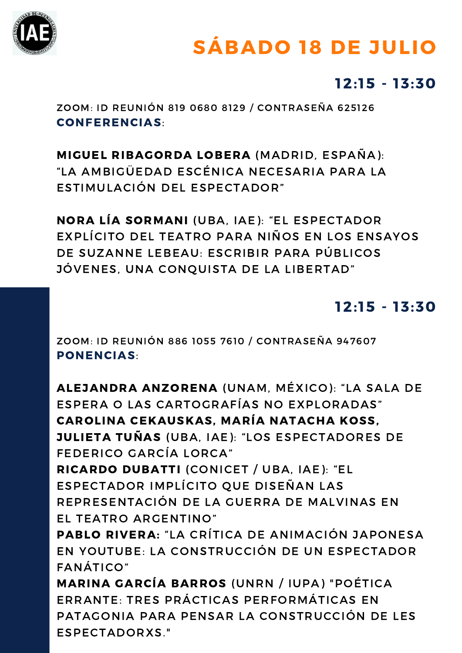

## SÁBADO 18 DE JULIO

#### $12:15 - 13:30$

ZOOM: ID REUNIÓN 819 0680 8129 / CONTRASEÑA 625126 CONFERENCIAS:

MIGUEL RIBAGORDA LOBERA (MADRID, ESPAÑA): "LA AMBIGÜEDAD ESCÉNICA NECESARIA PARA LA ESTIMULACIÓN DEL ESPECTADOR"

NORA LÍA SORMANI (UBA, IAE): "EL ESPECTADOR EXPLÍCITO DEL TEATRO PARA NIÑOS EN LOS ENSAYOS DE SUZANNE LEBEAU: ESCRIBIR PARA PÚBLICOS JÓVENES, UNA CONQUISTA DE LA LIBERTAD"

#### $12:15 - 13:30$

ZOOM: ID REUNIÓN 886 1055 7610 / CONTRASEÑA 947607 PONENCIAS:

ALEJANDRA ANZORENA (UNAM, MÉXICO): "LA SALA DE ESPERA O LAS CARTOGRAFÍAS NO EXPLORADAS" CAROLINA CEKAUSKAS, MARÍA NATACHA KOSS, JULIETA TUÑAS (UBA, IAE): "LOS ESPECTADORES DE FEDERICO GARCÍA LORCA" RICARDO DUBATTI (CONICET / UBA, IAE): "EL ESPECTADOR IMPLÍCITO QUE DISEÑAN LAS REPRESENTACIÓN DE LA GUERRA DE MALVINAS EN EL TEATRO ARGENTINO" PABLO RIVERA: "LA CRÍTICA DE ANIMACIÓN JAPONESA EN YOUTUBE: LA CONSTRUCCIÓN DE UN ESPECTADOR FANÁTICO" MARINA GARCÍA BARROS (UNRN / IUPA) "POÉTICA ERRANTE: TRES PRÁCTICAS PERFORMÁTICAS EN PATAGONIA PARA PENSAR LA CONSTRUCCIÓN DE LES ESPECTADORXS."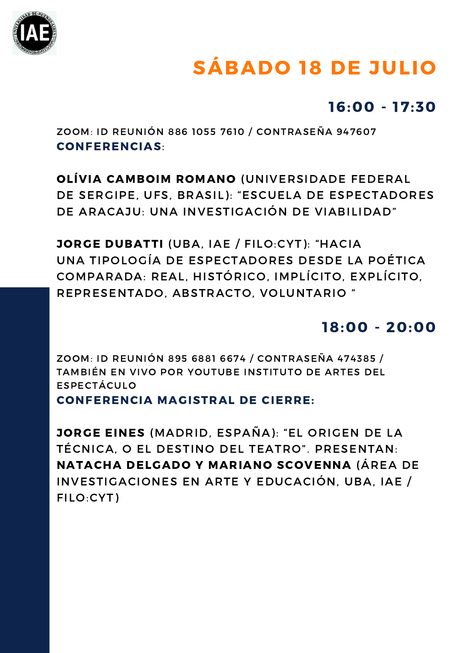

## SÁBADO 18 DE JULIO

#### 16:00 - 17:30

ZOOM: ID REUNIÓN 886 1055 7610 / CONTRASEÑA 947607 CONFERENCIAS:

OLÍVIA CAMBOIM ROMANO (UNIVERSIDADE FEDERAL DE SERGIPE, UFS, BRASIL): "ESCUELA DE ESPECTADORES DE ARACAJU: UNA INVESTIGACIÓN DE VIABILIDAD"

JORGE DUBATTI (UBA, IAE / FILO:CYT): "HACIA UNA TIPOLOGÍA DE ESPECTADORES DESDE LA POÉTICA COMPARADA: REAL, HISTÓRICO, IMPLÍCITO, EXPLÍCITO, REPRESENTADO, ABSTRACTO, VOLUNTARIO "

#### 18:00 - 20:00

ZOOM: ID REUNIÓN 895 6881 6674 / CONTRASEÑA 474385 / TAMBIÉN EN VIVO POR YOUTUBE INSTITUTO DE ARTES DEL ESPECTÁCULO

CONFERENCIA MAGISTRAL DE CIERRE:

JORGE EINES (MADRID, ESPAÑA): "EL ORIGEN DE LA TÉCNICA, O EL DESTINO DEL TEATRO". PRESENTAN: NATACHA DELGADO Y MARIANO SCOVENNA (ÁREA DE INVESTIGACIONES EN ARTE Y EDUCACIÓN, UBA, IAE / FILO:CYT)